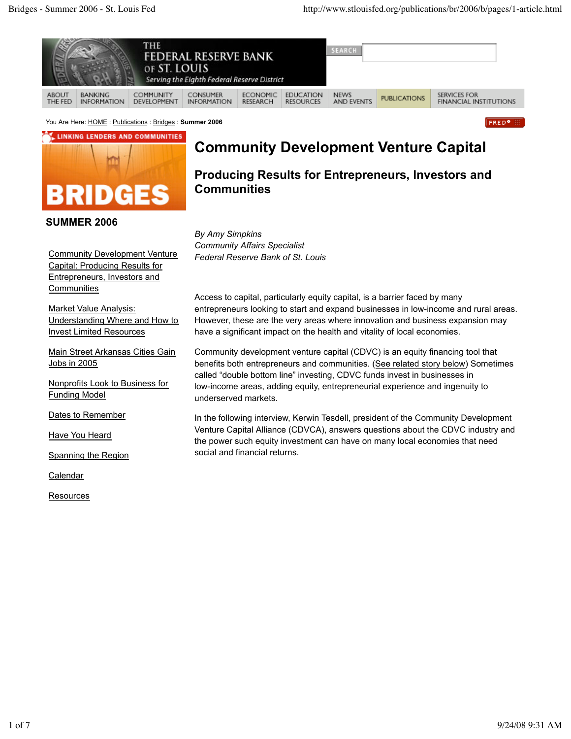

You Are Here: HOME : Publications : Bridges : **Summer 2006**

LINKING LENDERS AND COMMUNITIES



**SUMMER 2006**

# **Community Development Venture Capital**

**Producing Results for Entrepreneurs, Investors and Communities**

*By Amy Simpkins Community Affairs Specialist Federal Reserve Bank of St. Louis*

Access to capital, particularly equity capital, is a barrier faced by many entrepreneurs looking to start and expand businesses in low-income and rural areas. However, these are the very areas where innovation and business expansion may have a significant impact on the health and vitality of local economies.

Community development venture capital (CDVC) is an equity financing tool that benefits both entrepreneurs and communities. (See related story below) Sometimes called "double bottom line" investing, CDVC funds invest in businesses in low-income areas, adding equity, entrepreneurial experience and ingenuity to underserved markets.

In the following interview, Kerwin Tesdell, president of the Community Development Venture Capital Alliance (CDVCA), answers questions about the CDVC industry and the power such equity investment can have on many local economies that need social and financial returns.

Community Development Venture Capital: Producing Results for Entrepreneurs, Investors and **Communities** 

Market Value Analysis: Understanding Where and How to Invest Limited Resources

Main Street Arkansas Cities Gain Jobs in 2005

Nonprofits Look to Business for Funding Model

Dates to Remember

Have You Heard

Spanning the Region

**Calendar** 

**Resources**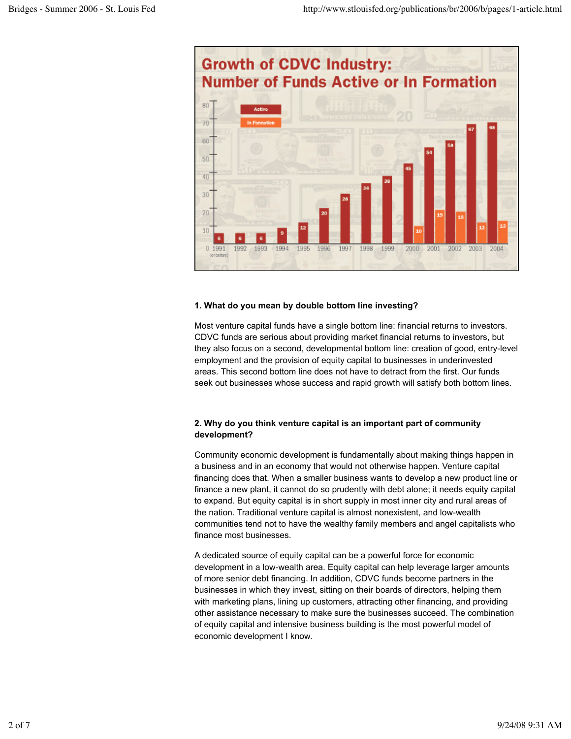

### **1. What do you mean by double bottom line investing?**

Most venture capital funds have a single bottom line: financial returns to investors. CDVC funds are serious about providing market financial returns to investors, but they also focus on a second, developmental bottom line: creation of good, entry-level employment and the provision of equity capital to businesses in underinvested areas. This second bottom line does not have to detract from the first. Our funds seek out businesses whose success and rapid growth will satisfy both bottom lines.

### **2. Why do you think venture capital is an important part of community development?**

Community economic development is fundamentally about making things happen in a business and in an economy that would not otherwise happen. Venture capital financing does that. When a smaller business wants to develop a new product line or finance a new plant, it cannot do so prudently with debt alone; it needs equity capital to expand. But equity capital is in short supply in most inner city and rural areas of the nation. Traditional venture capital is almost nonexistent, and low-wealth communities tend not to have the wealthy family members and angel capitalists who finance most businesses.

A dedicated source of equity capital can be a powerful force for economic development in a low-wealth area. Equity capital can help leverage larger amounts of more senior debt financing. In addition, CDVC funds become partners in the businesses in which they invest, sitting on their boards of directors, helping them with marketing plans, lining up customers, attracting other financing, and providing other assistance necessary to make sure the businesses succeed. The combination of equity capital and intensive business building is the most powerful model of economic development I know.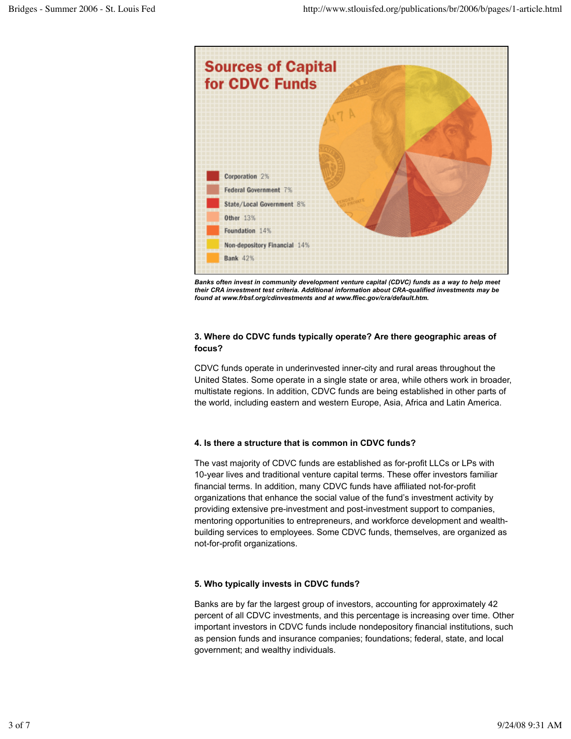

*Banks often invest in community development venture capital (CDVC) funds as a way to help meet their CRA investment test criteria. Additional information about CRA-qualified investments may be found at www.frbsf.org/cdinvestments and at www.ffiec.gov/cra/default.htm.*

#### **3. Where do CDVC funds typically operate? Are there geographic areas of focus?**

CDVC funds operate in underinvested inner-city and rural areas throughout the United States. Some operate in a single state or area, while others work in broader, multistate regions. In addition, CDVC funds are being established in other parts of the world, including eastern and western Europe, Asia, Africa and Latin America.

#### **4. Is there a structure that is common in CDVC funds?**

The vast majority of CDVC funds are established as for-profit LLCs or LPs with 10-year lives and traditional venture capital terms. These offer investors familiar financial terms. In addition, many CDVC funds have affiliated not-for-profit organizations that enhance the social value of the fund's investment activity by providing extensive pre-investment and post-investment support to companies, mentoring opportunities to entrepreneurs, and workforce development and wealthbuilding services to employees. Some CDVC funds, themselves, are organized as not-for-profit organizations.

#### **5. Who typically invests in CDVC funds?**

Banks are by far the largest group of investors, accounting for approximately 42 percent of all CDVC investments, and this percentage is increasing over time. Other important investors in CDVC funds include nondepository financial institutions, such as pension funds and insurance companies; foundations; federal, state, and local government; and wealthy individuals.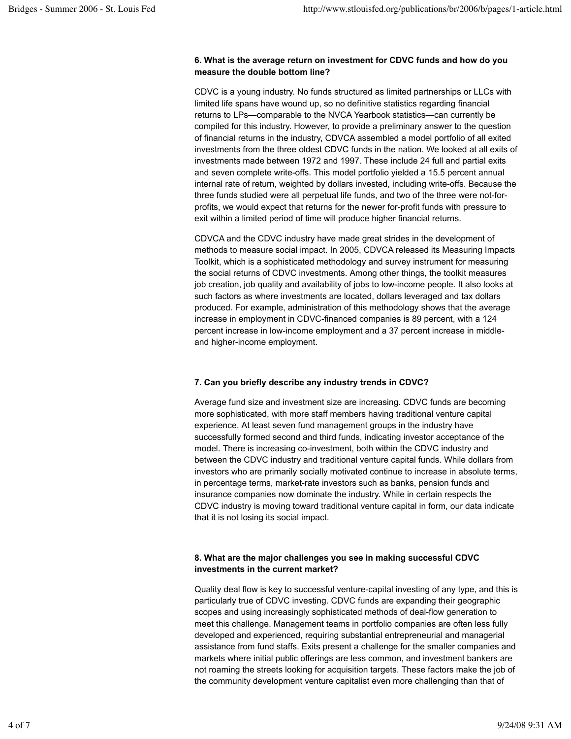#### **6. What is the average return on investment for CDVC funds and how do you measure the double bottom line?**

CDVC is a young industry. No funds structured as limited partnerships or LLCs with limited life spans have wound up, so no definitive statistics regarding financial returns to LPs—comparable to the NVCA Yearbook statistics—can currently be compiled for this industry. However, to provide a preliminary answer to the question of financial returns in the industry, CDVCA assembled a model portfolio of all exited investments from the three oldest CDVC funds in the nation. We looked at all exits of investments made between 1972 and 1997. These include 24 full and partial exits and seven complete write-offs. This model portfolio yielded a 15.5 percent annual internal rate of return, weighted by dollars invested, including write-offs. Because the three funds studied were all perpetual life funds, and two of the three were not-forprofits, we would expect that returns for the newer for-profit funds with pressure to exit within a limited period of time will produce higher financial returns.

CDVCA and the CDVC industry have made great strides in the development of methods to measure social impact. In 2005, CDVCA released its Measuring Impacts Toolkit, which is a sophisticated methodology and survey instrument for measuring the social returns of CDVC investments. Among other things, the toolkit measures job creation, job quality and availability of jobs to low-income people. It also looks at such factors as where investments are located, dollars leveraged and tax dollars produced. For example, administration of this methodology shows that the average increase in employment in CDVC-financed companies is 89 percent, with a 124 percent increase in low-income employment and a 37 percent increase in middleand higher-income employment.

# **7. Can you briefly describe any industry trends in CDVC?**

Average fund size and investment size are increasing. CDVC funds are becoming more sophisticated, with more staff members having traditional venture capital experience. At least seven fund management groups in the industry have successfully formed second and third funds, indicating investor acceptance of the model. There is increasing co-investment, both within the CDVC industry and between the CDVC industry and traditional venture capital funds. While dollars from investors who are primarily socially motivated continue to increase in absolute terms, in percentage terms, market-rate investors such as banks, pension funds and insurance companies now dominate the industry. While in certain respects the CDVC industry is moving toward traditional venture capital in form, our data indicate that it is not losing its social impact.

# **8. What are the major challenges you see in making successful CDVC investments in the current market?**

Quality deal flow is key to successful venture-capital investing of any type, and this is particularly true of CDVC investing. CDVC funds are expanding their geographic scopes and using increasingly sophisticated methods of deal-flow generation to meet this challenge. Management teams in portfolio companies are often less fully developed and experienced, requiring substantial entrepreneurial and managerial assistance from fund staffs. Exits present a challenge for the smaller companies and markets where initial public offerings are less common, and investment bankers are not roaming the streets looking for acquisition targets. These factors make the job of the community development venture capitalist even more challenging than that of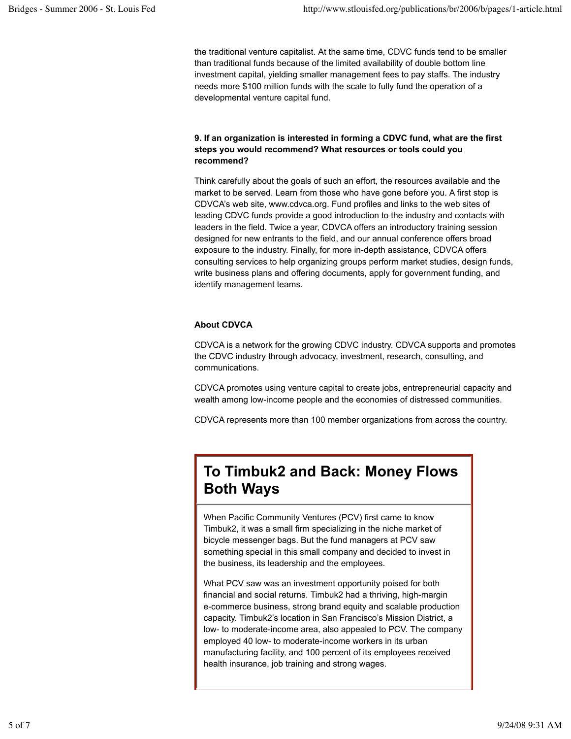the traditional venture capitalist. At the same time, CDVC funds tend to be smaller than traditional funds because of the limited availability of double bottom line investment capital, yielding smaller management fees to pay staffs. The industry needs more \$100 million funds with the scale to fully fund the operation of a developmental venture capital fund.

# **9. If an organization is interested in forming a CDVC fund, what are the first steps you would recommend? What resources or tools could you recommend?**

Think carefully about the goals of such an effort, the resources available and the market to be served. Learn from those who have gone before you. A first stop is CDVCA's web site, www.cdvca.org. Fund profiles and links to the web sites of leading CDVC funds provide a good introduction to the industry and contacts with leaders in the field. Twice a year, CDVCA offers an introductory training session designed for new entrants to the field, and our annual conference offers broad exposure to the industry. Finally, for more in-depth assistance, CDVCA offers consulting services to help organizing groups perform market studies, design funds, write business plans and offering documents, apply for government funding, and identify management teams.

# **About CDVCA**

CDVCA is a network for the growing CDVC industry. CDVCA supports and promotes the CDVC industry through advocacy, investment, research, consulting, and communications.

CDVCA promotes using venture capital to create jobs, entrepreneurial capacity and wealth among low-income people and the economies of distressed communities.

CDVCA represents more than 100 member organizations from across the country.

# **To Timbuk2 and Back: Money Flows Both Ways**

When Pacific Community Ventures (PCV) first came to know Timbuk2, it was a small firm specializing in the niche market of bicycle messenger bags. But the fund managers at PCV saw something special in this small company and decided to invest in the business, its leadership and the employees.

What PCV saw was an investment opportunity poised for both financial and social returns. Timbuk2 had a thriving, high-margin e-commerce business, strong brand equity and scalable production capacity. Timbuk2's location in San Francisco's Mission District, a low- to moderate-income area, also appealed to PCV. The company employed 40 low- to moderate-income workers in its urban manufacturing facility, and 100 percent of its employees received health insurance, job training and strong wages.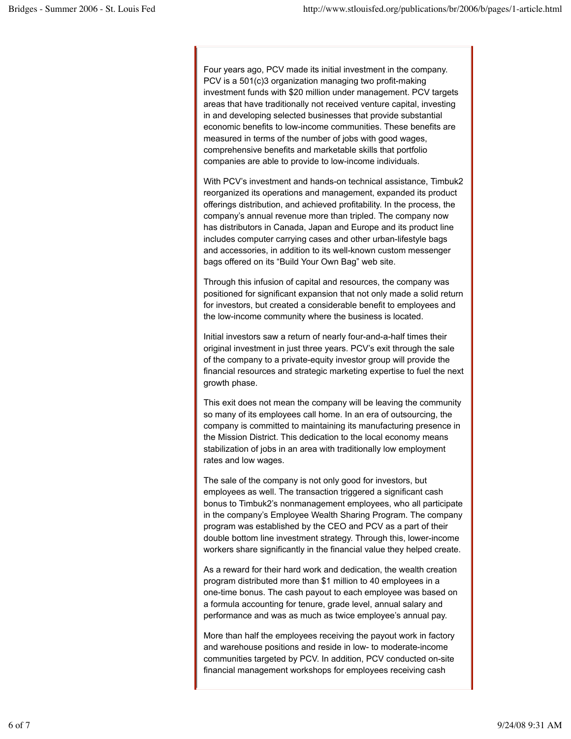Four years ago, PCV made its initial investment in the company. PCV is a 501(c)3 organization managing two profit-making investment funds with \$20 million under management. PCV targets areas that have traditionally not received venture capital, investing in and developing selected businesses that provide substantial economic benefits to low-income communities. These benefits are measured in terms of the number of jobs with good wages, comprehensive benefits and marketable skills that portfolio companies are able to provide to low-income individuals.

With PCV's investment and hands-on technical assistance, Timbuk2 reorganized its operations and management, expanded its product offerings distribution, and achieved profitability. In the process, the company's annual revenue more than tripled. The company now has distributors in Canada, Japan and Europe and its product line includes computer carrying cases and other urban-lifestyle bags and accessories, in addition to its well-known custom messenger bags offered on its "Build Your Own Bag" web site.

Through this infusion of capital and resources, the company was positioned for significant expansion that not only made a solid return for investors, but created a considerable benefit to employees and the low-income community where the business is located.

Initial investors saw a return of nearly four-and-a-half times their original investment in just three years. PCV's exit through the sale of the company to a private-equity investor group will provide the financial resources and strategic marketing expertise to fuel the next growth phase.

This exit does not mean the company will be leaving the community so many of its employees call home. In an era of outsourcing, the company is committed to maintaining its manufacturing presence in the Mission District. This dedication to the local economy means stabilization of jobs in an area with traditionally low employment rates and low wages.

The sale of the company is not only good for investors, but employees as well. The transaction triggered a significant cash bonus to Timbuk2's nonmanagement employees, who all participate in the company's Employee Wealth Sharing Program. The company program was established by the CEO and PCV as a part of their double bottom line investment strategy. Through this, lower-income workers share significantly in the financial value they helped create.

As a reward for their hard work and dedication, the wealth creation program distributed more than \$1 million to 40 employees in a one-time bonus. The cash payout to each employee was based on a formula accounting for tenure, grade level, annual salary and performance and was as much as twice employee's annual pay.

More than half the employees receiving the payout work in factory and warehouse positions and reside in low- to moderate-income communities targeted by PCV. In addition, PCV conducted on-site financial management workshops for employees receiving cash